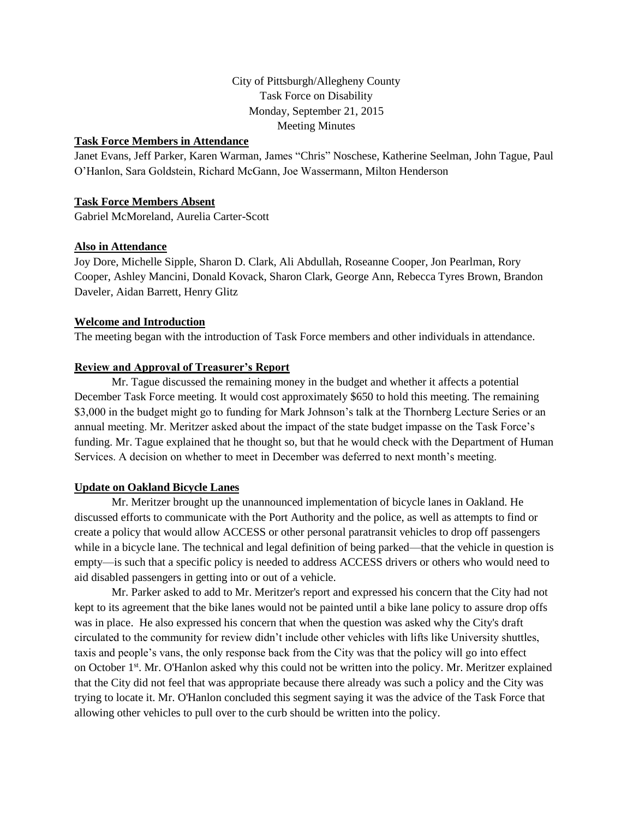# City of Pittsburgh/Allegheny County Task Force on Disability Monday, September 21, 2015 Meeting Minutes

### **Task Force Members in Attendance**

Janet Evans, Jeff Parker, Karen Warman, James "Chris" Noschese, Katherine Seelman, John Tague, Paul O'Hanlon, Sara Goldstein, Richard McGann, Joe Wassermann, Milton Henderson

# **Task Force Members Absent**

Gabriel McMoreland, Aurelia Carter-Scott

### **Also in Attendance**

Joy Dore, Michelle Sipple, Sharon D. Clark, Ali Abdullah, Roseanne Cooper, Jon Pearlman, Rory Cooper, Ashley Mancini, Donald Kovack, Sharon Clark, George Ann, Rebecca Tyres Brown, Brandon Daveler, Aidan Barrett, Henry Glitz

### **Welcome and Introduction**

The meeting began with the introduction of Task Force members and other individuals in attendance.

### **Review and Approval of Treasurer's Report**

 Mr. Tague discussed the remaining money in the budget and whether it affects a potential December Task Force meeting. It would cost approximately \$650 to hold this meeting. The remaining \$3,000 in the budget might go to funding for Mark Johnson's talk at the Thornberg Lecture Series or an annual meeting. Mr. Meritzer asked about the impact of the state budget impasse on the Task Force's funding. Mr. Tague explained that he thought so, but that he would check with the Department of Human Services. A decision on whether to meet in December was deferred to next month's meeting.

### **Update on Oakland Bicycle Lanes**

 Mr. Meritzer brought up the unannounced implementation of bicycle lanes in Oakland. He discussed efforts to communicate with the Port Authority and the police, as well as attempts to find or create a policy that would allow ACCESS or other personal paratransit vehicles to drop off passengers while in a bicycle lane. The technical and legal definition of being parked—that the vehicle in question is empty—is such that a specific policy is needed to address ACCESS drivers or others who would need to aid disabled passengers in getting into or out of a vehicle.

Mr. Parker asked to add to Mr. Meritzer's report and expressed his concern that the City had not kept to its agreement that the bike lanes would not be painted until a bike lane policy to assure drop offs was in place. He also expressed his concern that when the question was asked why the City's draft circulated to the community for review didn't include other vehicles with lifts like University shuttles, taxis and people's vans, the only response back from the City was that the policy will go into effect on October 1<sup>st</sup>. Mr. O'Hanlon asked why this could not be written into the policy. Mr. Meritzer explained that the City did not feel that was appropriate because there already was such a policy and the City was trying to locate it. Mr. O'Hanlon concluded this segment saying it was the advice of the Task Force that allowing other vehicles to pull over to the curb should be written into the policy.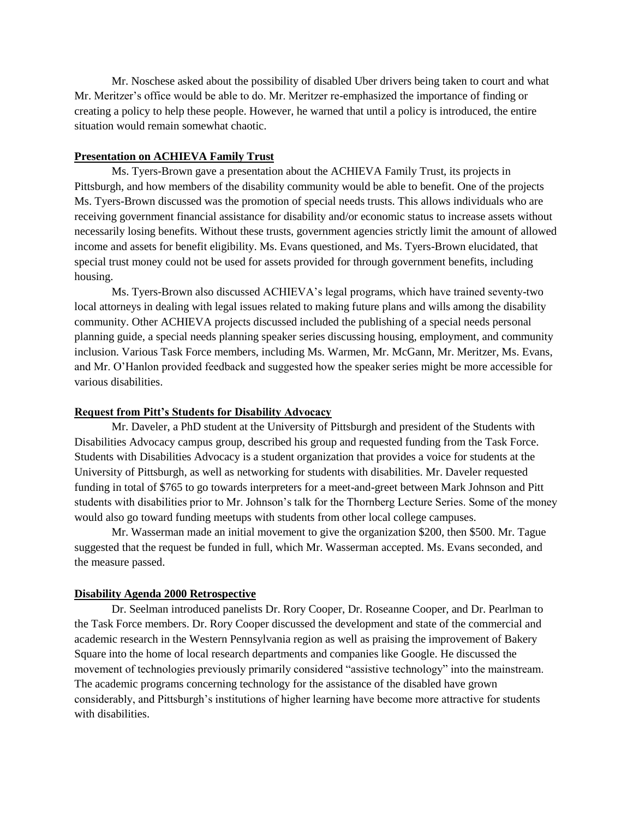Mr. Noschese asked about the possibility of disabled Uber drivers being taken to court and what Mr. Meritzer's office would be able to do. Mr. Meritzer re-emphasized the importance of finding or creating a policy to help these people. However, he warned that until a policy is introduced, the entire situation would remain somewhat chaotic.

# **Presentation on ACHIEVA Family Trust**

Ms. Tyers-Brown gave a presentation about the ACHIEVA Family Trust, its projects in Pittsburgh, and how members of the disability community would be able to benefit. One of the projects Ms. Tyers-Brown discussed was the promotion of special needs trusts. This allows individuals who are receiving government financial assistance for disability and/or economic status to increase assets without necessarily losing benefits. Without these trusts, government agencies strictly limit the amount of allowed income and assets for benefit eligibility. Ms. Evans questioned, and Ms. Tyers-Brown elucidated, that special trust money could not be used for assets provided for through government benefits, including housing.

Ms. Tyers-Brown also discussed ACHIEVA's legal programs, which have trained seventy-two local attorneys in dealing with legal issues related to making future plans and wills among the disability community. Other ACHIEVA projects discussed included the publishing of a special needs personal planning guide, a special needs planning speaker series discussing housing, employment, and community inclusion. Various Task Force members, including Ms. Warmen, Mr. McGann, Mr. Meritzer, Ms. Evans, and Mr. O'Hanlon provided feedback and suggested how the speaker series might be more accessible for various disabilities.

#### **Request from Pitt's Students for Disability Advocacy**

 Mr. Daveler, a PhD student at the University of Pittsburgh and president of the Students with Disabilities Advocacy campus group, described his group and requested funding from the Task Force. Students with Disabilities Advocacy is a student organization that provides a voice for students at the University of Pittsburgh, as well as networking for students with disabilities. Mr. Daveler requested funding in total of \$765 to go towards interpreters for a meet-and-greet between Mark Johnson and Pitt students with disabilities prior to Mr. Johnson's talk for the Thornberg Lecture Series. Some of the money would also go toward funding meetups with students from other local college campuses.

 Mr. Wasserman made an initial movement to give the organization \$200, then \$500. Mr. Tague suggested that the request be funded in full, which Mr. Wasserman accepted. Ms. Evans seconded, and the measure passed.

#### **Disability Agenda 2000 Retrospective**

Dr. Seelman introduced panelists Dr. Rory Cooper, Dr. Roseanne Cooper, and Dr. Pearlman to the Task Force members. Dr. Rory Cooper discussed the development and state of the commercial and academic research in the Western Pennsylvania region as well as praising the improvement of Bakery Square into the home of local research departments and companies like Google. He discussed the movement of technologies previously primarily considered "assistive technology" into the mainstream. The academic programs concerning technology for the assistance of the disabled have grown considerably, and Pittsburgh's institutions of higher learning have become more attractive for students with disabilities.